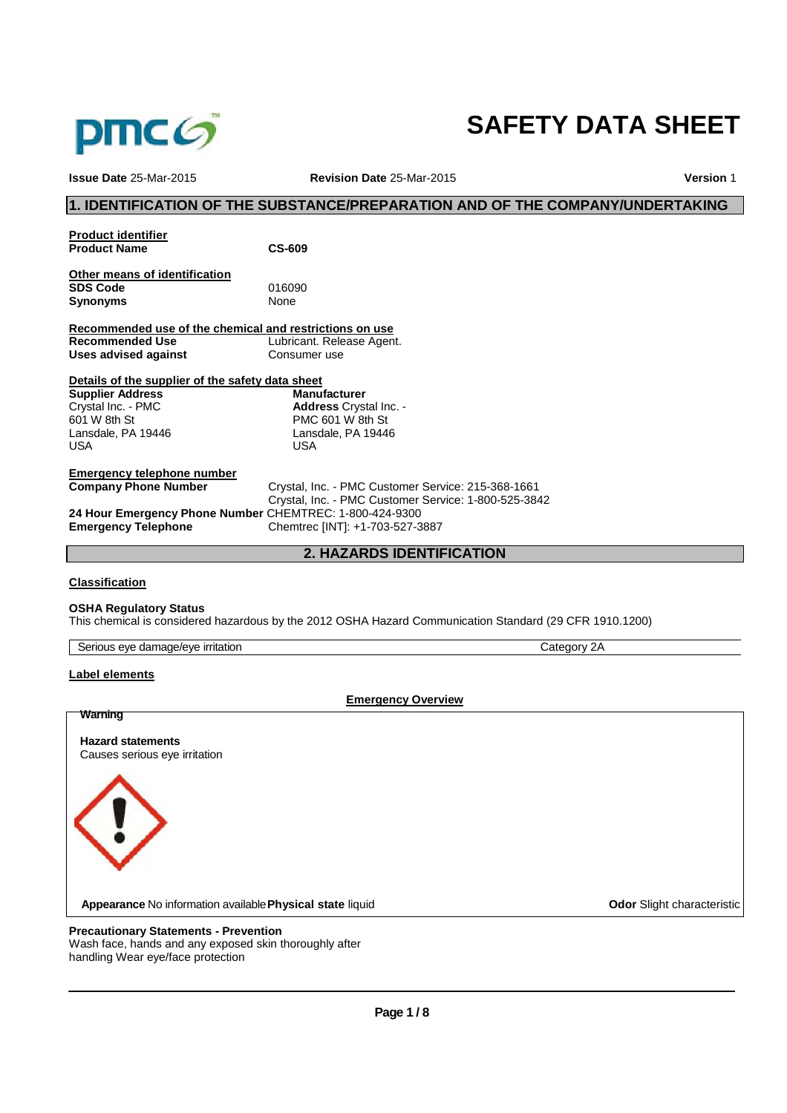

# **SAFETY DATA SHEET**

| Issue Date 25-Mar-2015                                  | Revision Date 25-Mar-2015                                                                               | <b>Version 1</b> |
|---------------------------------------------------------|---------------------------------------------------------------------------------------------------------|------------------|
|                                                         | 1. IDENTIFICATION OF THE SUBSTANCE/PREPARATION AND OF THE COMPANY/UNDERTAKING                           |                  |
| <b>Product identifier</b>                               |                                                                                                         |                  |
| <b>Product Name</b>                                     | <b>CS-609</b>                                                                                           |                  |
| Other means of identification                           |                                                                                                         |                  |
| <b>SDS Code</b>                                         | 016090                                                                                                  |                  |
| <b>Synonyms</b>                                         | None                                                                                                    |                  |
| Recommended use of the chemical and restrictions on use |                                                                                                         |                  |
| <b>Recommended Use</b>                                  | Lubricant. Release Agent.                                                                               |                  |
| Uses advised against                                    | Consumer use                                                                                            |                  |
| Details of the supplier of the safety data sheet        |                                                                                                         |                  |
| <b>Supplier Address</b>                                 | <b>Manufacturer</b>                                                                                     |                  |
| Crystal Inc. - PMC                                      | Address Crystal Inc. -                                                                                  |                  |
| 601 W 8th St                                            | PMC 601 W 8th St                                                                                        |                  |
| Lansdale, PA 19446                                      | Lansdale, PA 19446                                                                                      |                  |
| <b>USA</b>                                              | <b>USA</b>                                                                                              |                  |
| <b>Emergency telephone number</b>                       |                                                                                                         |                  |
| <b>Company Phone Number</b>                             | Crystal, Inc. - PMC Customer Service: 215-368-1661                                                      |                  |
|                                                         | Crystal, Inc. - PMC Customer Service: 1-800-525-3842                                                    |                  |
| 24 Hour Emergency Phone Number CHEMTREC: 1-800-424-9300 |                                                                                                         |                  |
| <b>Emergency Telephone</b>                              | Chemtrec [INT]: +1-703-527-3887                                                                         |                  |
|                                                         | <b>2. HAZARDS IDENTIFICATION</b>                                                                        |                  |
| <b>Classification</b>                                   |                                                                                                         |                  |
| <b>OSHA Requlatory Status</b>                           |                                                                                                         |                  |
|                                                         | This chemical is considered hazardous by the 2012 OSHA Hazard Communication Standard (29 CFR 1910.1200) |                  |

| Serious eye damage/eye irritation | Category 2A |
|-----------------------------------|-------------|

# **Label elements**

**Emergency Overview**

**Warning Hazard statements** Causes serious eye irritation **Appearance** No information available **Physical state** liquid **Constanting Constanting Constanting Constanting Constanting Constanting Constanting Constanting Constanting Constanting Constanting Constanting Constanting Con Precautionary Statements - Prevention**

Wash face, hands and any exposed skin thoroughly after handling Wear eye/face protection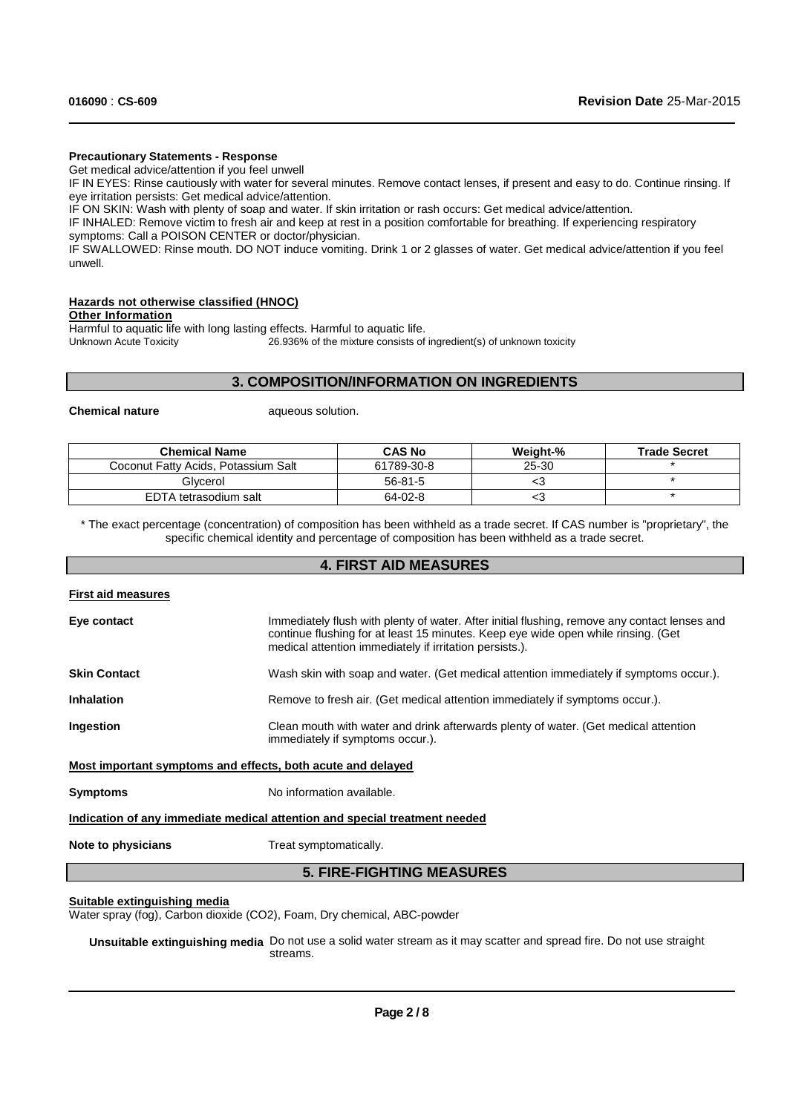### **Precautionary Statements - Response**

Get medical advice/attention if you feel unwell

IF IN EYES: Rinse cautiously with water for several minutes. Remove contact lenses, if present and easy to do. Continue rinsing. If eye irritation persists: Get medical advice/attention.

IF ON SKIN: Wash with plenty of soap and water. If skin irritation or rash occurs: Get medical advice/attention.

IF INHALED: Remove victim to fresh air and keep at rest in a position comfortable for breathing. If experiencing respiratory symptoms: Call a POISON CENTER or doctor/physician.

IF SWALLOWED: Rinse mouth. DO NOT induce vomiting. Drink 1 or 2 glasses of water. Get medical advice/attention if you feel unwell.

### **Hazards not otherwise classified (HNOC)**

**Other Information**

Harmful to aquatic life with long lasting effects. Harmful to aquatic life.<br>Unknown Acute Toxicity 26.936% of the mixture consists of 26.936% of the mixture consists of ingredient(s) of unknown toxicity

# **3. COMPOSITION/INFORMATION ON INGREDIENTS**

**Chemical nature aqueous solution.** 

| <b>Chemical Name</b>                | <b>CAS No</b> | Weight-% | <b>Trade Secret</b> |
|-------------------------------------|---------------|----------|---------------------|
| Coconut Fatty Acids, Potassium Salt | 61789-30-8    | 25-30    |                     |
| Glvcerol                            | $56 - 81 - 5$ | ເວ       |                     |
| EDTA tetrasodium salt               | 64-02-8       | ເວ       |                     |

\* The exact percentage (concentration) of composition has been withheld as a trade secret. If CAS number is "proprietary", the specific chemical identity and percentage of composition has been withheld as a trade secret.

# **4. FIRST AID MEASURES**

### **First aid measures**

| Eye contact                                                 | Immediately flush with plenty of water. After initial flushing, remove any contact lenses and<br>continue flushing for at least 15 minutes. Keep eye wide open while rinsing. (Get<br>medical attention immediately if irritation persists.). |
|-------------------------------------------------------------|-----------------------------------------------------------------------------------------------------------------------------------------------------------------------------------------------------------------------------------------------|
| <b>Skin Contact</b>                                         | Wash skin with soap and water. (Get medical attention immediately if symptoms occur.).                                                                                                                                                        |
| <b>Inhalation</b>                                           | Remove to fresh air. (Get medical attention immediately if symptoms occur.).                                                                                                                                                                  |
| Ingestion                                                   | Clean mouth with water and drink afterwards plenty of water. (Get medical attention<br>immediately if symptoms occur.).                                                                                                                       |
| Most important symptoms and effects, both acute and delayed |                                                                                                                                                                                                                                               |
| <b>Symptoms</b>                                             | No information available.                                                                                                                                                                                                                     |
|                                                             | Indication of any immediate medical attention and special treatment needed                                                                                                                                                                    |
| Note to physicians                                          | Treat symptomatically.                                                                                                                                                                                                                        |

# **5. FIRE-FIGHTING MEASURES**

### **Suitable extinguishing media**

Water spray (fog), Carbon dioxide (CO2), Foam, Dry chemical, ABC-powder

**Unsuitable extinguishing media** Do not use a solid water stream as it may scatter and spread fire. Do not use straight streams.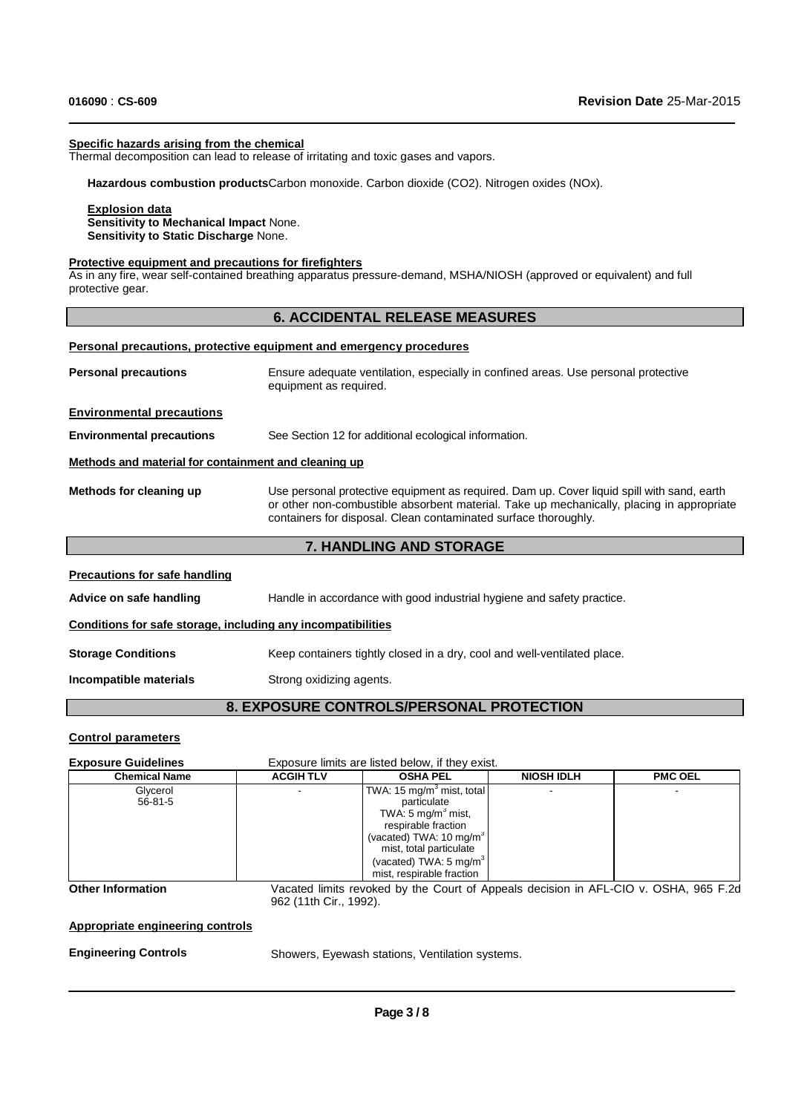### **Specific hazards arising from the chemical**

Thermal decomposition can lead to release of irritating and toxic gases and vapors.

**Hazardous combustion products**Carbon monoxide. Carbon dioxide (CO2). Nitrogen oxides (NOx).

### **Explosion data**

**Sensitivity to Mechanical Impact** None. **Sensitivity to Static Discharge** None.

### **Protective equipment and precautions for firefighters**

As in any fire, wear self-contained breathing apparatus pressure-demand, MSHA/NIOSH (approved or equivalent) and full protective gear.

### **6. ACCIDENTAL RELEASE MEASURES**

### **Personal precautions, protective equipment and emergency procedures**

| <b>Personal precautions</b>                          | Ensure adequate ventilation, especially in confined areas. Use personal protective<br>equipment as required.                                                                                                                                               |
|------------------------------------------------------|------------------------------------------------------------------------------------------------------------------------------------------------------------------------------------------------------------------------------------------------------------|
| <b>Environmental precautions</b>                     |                                                                                                                                                                                                                                                            |
| <b>Environmental precautions</b>                     | See Section 12 for additional ecological information.                                                                                                                                                                                                      |
| Methods and material for containment and cleaning up |                                                                                                                                                                                                                                                            |
| Methods for cleaning up                              | Use personal protective equipment as required. Dam up. Cover liquid spill with sand, earth<br>or other non-combustible absorbent material. Take up mechanically, placing in appropriate<br>containers for disposal. Clean contaminated surface thoroughly. |

# **7. HANDLING AND STORAGE**

### **Precautions for safe handling**

Advice on safe handling **Handle in accordance with good industrial hygiene and safety practice.** 

### **Conditions for safe storage, including any incompatibilities**

**Storage Conditions** Keep containers tightly closed in a dry, cool and well-ventilated place.

**Incompatible materials** Strong oxidizing agents.

# **8. EXPOSURE CONTROLS/PERSONAL PROTECTION**

### **Control parameters**

**Exposure Guidelines** Exposure limits are listed below, if they exist.

| <b>Chemical Name</b> | <b>ACGIH TLV</b> | <b>OSHA PEL</b>                       | <b>NIOSH IDLH</b> | <b>PMC OEL</b> |
|----------------------|------------------|---------------------------------------|-------------------|----------------|
| Glycerol             |                  | TWA: 15 mg/m <sup>3</sup> mist, total |                   |                |
| 56-81-5              |                  | particulate                           |                   |                |
|                      |                  | TWA: 5 mg/m <sup>3</sup> mist,        |                   |                |
|                      |                  | respirable fraction                   |                   |                |
|                      |                  | (vacated) TWA: $10 \text{ mg/m}^3$    |                   |                |
|                      |                  | mist, total particulate               |                   |                |
|                      |                  | (vacated) TWA: $5 \text{ mg/m}^3$     |                   |                |
|                      |                  | mist, respirable fraction             |                   |                |

**Other Information**

Vacated limits revoked by the Court of Appeals decision in AFL-CIO v. OSHA, 965 F.2d 962 (11th Cir., 1992).

# **Appropriate engineering controls**

### **Engineering Controls**

Showers, Eyewash stations, Ventilation systems.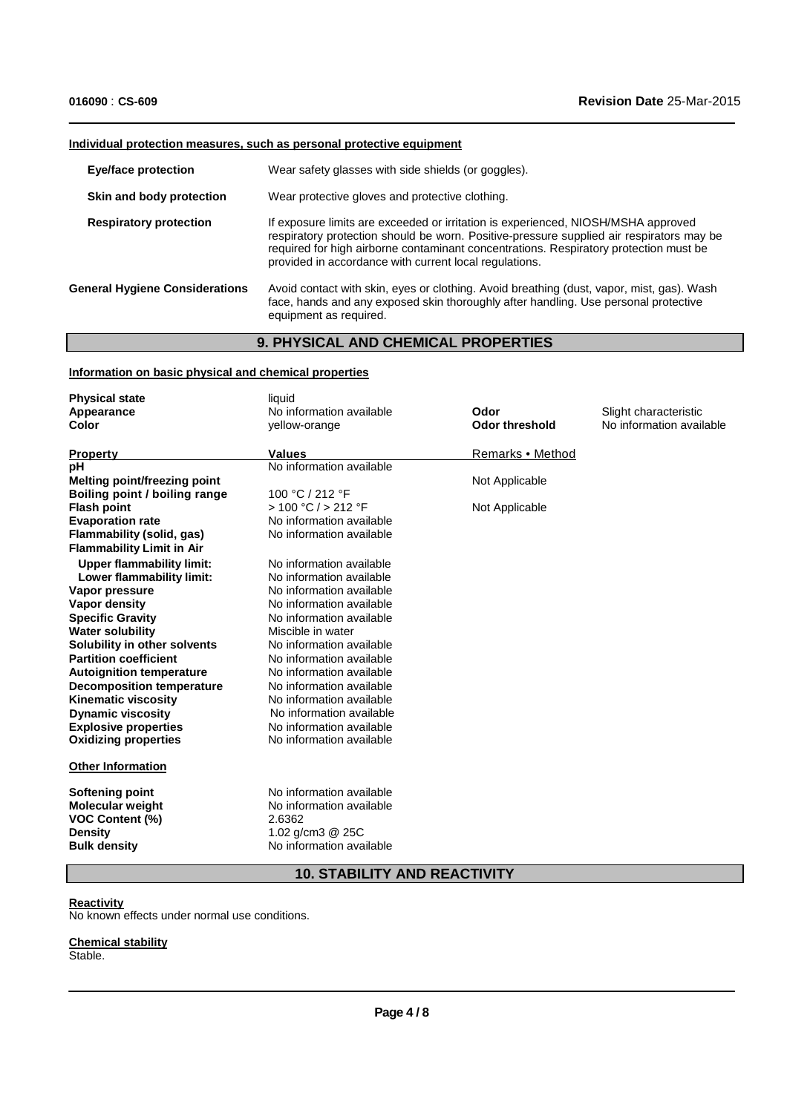# **Individual protection measures, such as personal protective equipment**

| <b>Eye/face protection</b>            | Wear safety glasses with side shields (or goggles).                                                                                                                                                                                                                                                                              |
|---------------------------------------|----------------------------------------------------------------------------------------------------------------------------------------------------------------------------------------------------------------------------------------------------------------------------------------------------------------------------------|
| Skin and body protection              | Wear protective gloves and protective clothing.                                                                                                                                                                                                                                                                                  |
| <b>Respiratory protection</b>         | If exposure limits are exceeded or irritation is experienced, NIOSH/MSHA approved<br>respiratory protection should be worn. Positive-pressure supplied air respirators may be<br>required for high airborne contaminant concentrations. Respiratory protection must be<br>provided in accordance with current local regulations. |
| <b>General Hygiene Considerations</b> | Avoid contact with skin, eyes or clothing. Avoid breathing (dust, vapor, mist, gas). Wash<br>face, hands and any exposed skin thoroughly after handling. Use personal protective<br>equipment as required.                                                                                                                       |

# **9. PHYSICAL AND CHEMICAL PROPERTIES**

# **Information on basic physical and chemical properties**

| <b>Physical state</b>                                                                                  | liquid                                                                                                           |                       |                          |
|--------------------------------------------------------------------------------------------------------|------------------------------------------------------------------------------------------------------------------|-----------------------|--------------------------|
| Appearance                                                                                             | No information available                                                                                         | Odor                  | Slight characteristic    |
| Color                                                                                                  | yellow-orange                                                                                                    | <b>Odor threshold</b> | No information available |
| <b>Property</b>                                                                                        | <b>Values</b>                                                                                                    | Remarks • Method      |                          |
| рH                                                                                                     | No information available                                                                                         |                       |                          |
| <b>Melting point/freezing point</b>                                                                    |                                                                                                                  | Not Applicable        |                          |
| Boiling point / boiling range                                                                          | 100 °C / 212 °F                                                                                                  |                       |                          |
| <b>Flash point</b>                                                                                     | > 100 °C / > 212 °F                                                                                              | Not Applicable        |                          |
| <b>Evaporation rate</b>                                                                                | No information available                                                                                         |                       |                          |
| Flammability (solid, gas)                                                                              | No information available                                                                                         |                       |                          |
| <b>Flammability Limit in Air</b>                                                                       |                                                                                                                  |                       |                          |
| <b>Upper flammability limit:</b>                                                                       | No information available                                                                                         |                       |                          |
| Lower flammability limit:                                                                              | No information available                                                                                         |                       |                          |
| Vapor pressure                                                                                         | No information available                                                                                         |                       |                          |
| Vapor density                                                                                          | No information available                                                                                         |                       |                          |
| <b>Specific Gravity</b>                                                                                | No information available                                                                                         |                       |                          |
| <b>Water solubility</b>                                                                                | Miscible in water                                                                                                |                       |                          |
| Solubility in other solvents                                                                           | No information available                                                                                         |                       |                          |
| <b>Partition coefficient</b>                                                                           | No information available                                                                                         |                       |                          |
| <b>Autoignition temperature</b>                                                                        | No information available                                                                                         |                       |                          |
| <b>Decomposition temperature</b>                                                                       | No information available                                                                                         |                       |                          |
| <b>Kinematic viscosity</b>                                                                             | No information available                                                                                         |                       |                          |
| <b>Dynamic viscosity</b>                                                                               | No information available                                                                                         |                       |                          |
| <b>Explosive properties</b>                                                                            | No information available                                                                                         |                       |                          |
| <b>Oxidizing properties</b>                                                                            | No information available                                                                                         |                       |                          |
| <b>Other Information</b>                                                                               |                                                                                                                  |                       |                          |
| Softening point<br>Molecular weight<br><b>VOC Content (%)</b><br><b>Density</b><br><b>Bulk density</b> | No information available<br>No information available<br>2.6362<br>1.02 $q/cm3$ @ 25C<br>No information available |                       |                          |
|                                                                                                        |                                                                                                                  |                       |                          |

# **10. STABILITY AND REACTIVITY**

# **Reactivity**

No known effects under normal use conditions.

### **Chemical stability** Stable.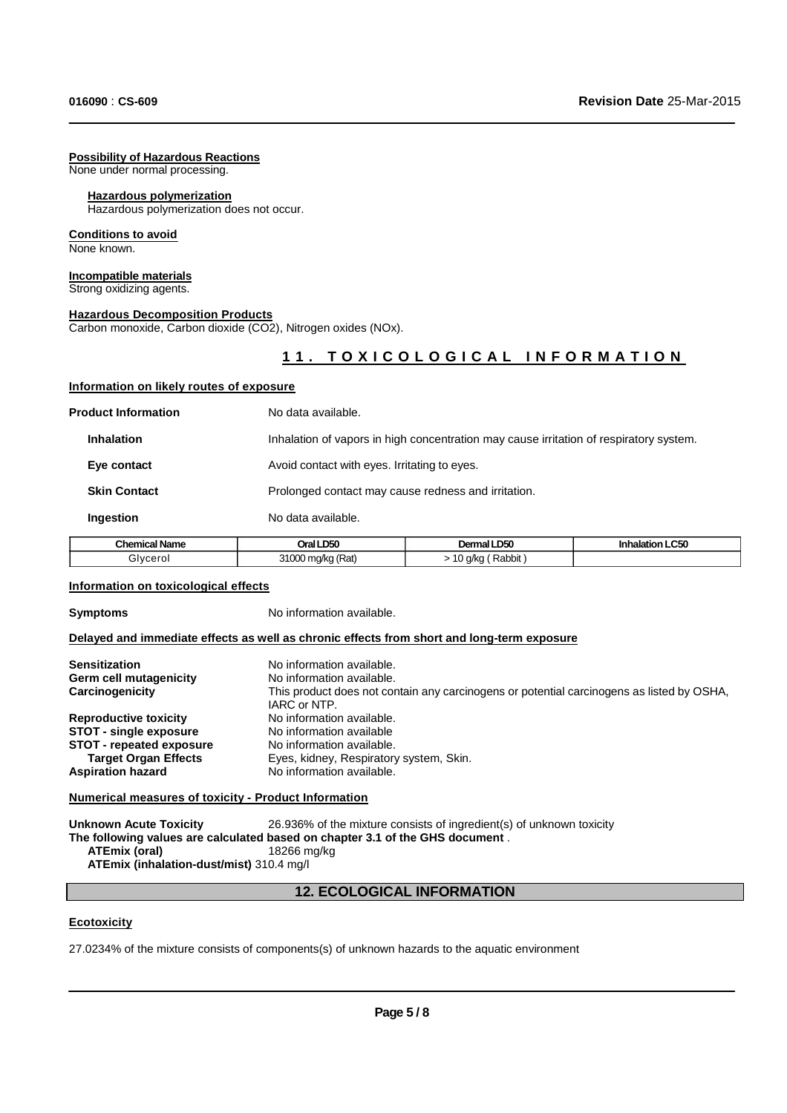### **Possibility of Hazardous Reactions**

None under normal processing.

### **Hazardous polymerization**

Hazardous polymerization does not occur.

# **Conditions to avoid**

None known.

### **Incompatible materials** Strong oxidizing agents.

**Hazardous Decomposition Products**

**Information on likely routes of exposure**

Carbon monoxide, Carbon dioxide (CO2), Nitrogen oxides (NOx).

# 11. TOXICOLOGICAL INFORMATION

| <b>Chemical Name</b>       | Oral LD50          | Dermal LD50                                                                            | <b>Inhalation LC50</b> |  |
|----------------------------|--------------------|----------------------------------------------------------------------------------------|------------------------|--|
| Ingestion                  | No data available. |                                                                                        |                        |  |
| <b>Skin Contact</b>        |                    | Prolonged contact may cause redness and irritation.                                    |                        |  |
| Eye contact                |                    | Avoid contact with eyes. Irritating to eyes.                                           |                        |  |
| <b>Inhalation</b>          |                    | Inhalation of vapors in high concentration may cause irritation of respiratory system. |                        |  |
| <b>Product Information</b> | No data available. |                                                                                        |                        |  |
|                            |                    |                                                                                        |                        |  |

# Glycerol 31000 mg/kg (Rat) > 10 g/kg (Rabbit )

### **Information on toxicological effects**

**Symptoms** No information available.

### **Delayed and immediate effects as well as chronic effects from short and long-term exposure**

| <b>Sensitization</b><br>Germ cell mutagenicity<br>Carcinogenicity | No information available.<br>No information available.<br>This product does not contain any carcinogens or potential carcinogens as listed by OSHA,<br>IARC or NTP. |
|-------------------------------------------------------------------|---------------------------------------------------------------------------------------------------------------------------------------------------------------------|
| <b>Reproductive toxicity</b>                                      | No information available.                                                                                                                                           |
| <b>STOT - single exposure</b>                                     | No information available                                                                                                                                            |
| <b>STOT</b> - repeated exposure                                   | No information available.                                                                                                                                           |
| <b>Target Organ Effects</b>                                       | Eyes, kidney, Respiratory system, Skin.                                                                                                                             |
| <b>Aspiration hazard</b>                                          | No information available.                                                                                                                                           |

### **Numerical measures of toxicity - Product Information**

**Unknown Acute Toxicity** 26.936% of the mixture consists of ingredient(s) of unknown toxicity **The following values are calculated based on chapter 3.1 of the GHS document** . **ATEmix (oral)** 18266 mg/kg **ATEmix (inhalation-dust/mist)** 310.4 mg/l

# **12. ECOLOGICAL INFORMATION**

### **Ecotoxicity**

27.0234% of the mixture consists of components(s) of unknown hazards to the aquatic environment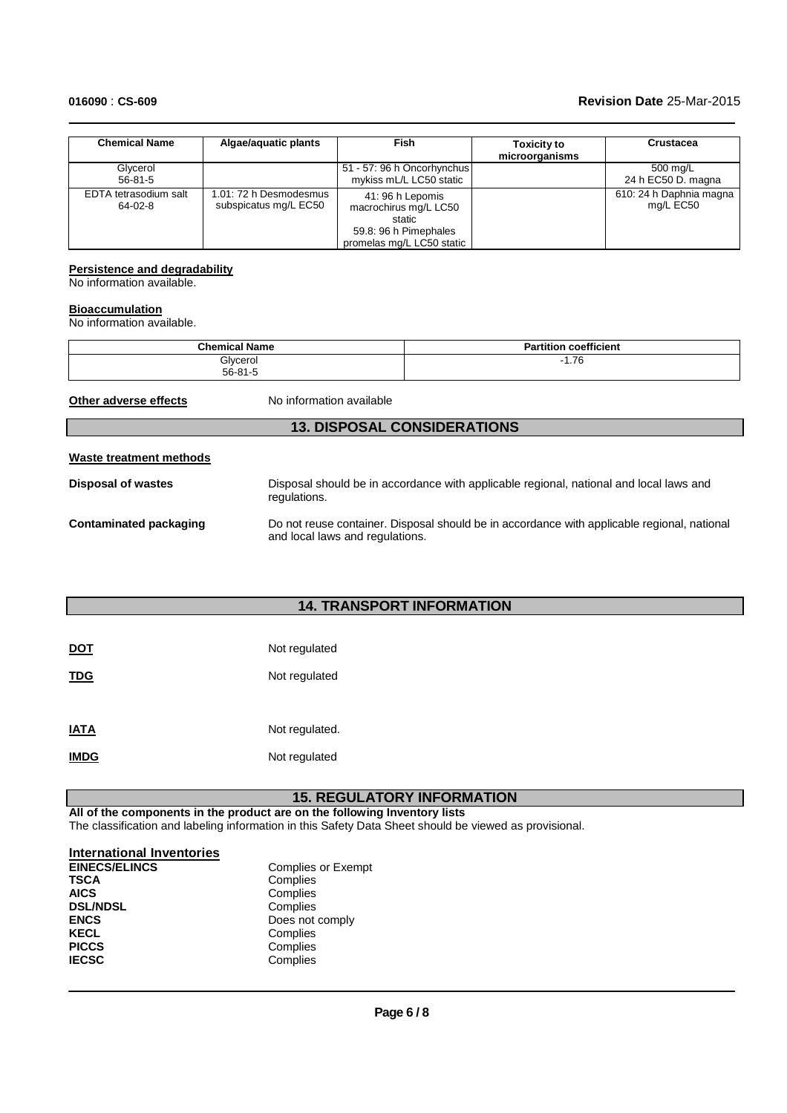# **016090** : **CS-609 Revision Date** 25-Mar-2015

| <b>Chemical Name</b>             | Algae/aquatic plants                            | Fish                                                                                                      | <b>Toxicity to</b><br>microorganisms | Crustacea                            |
|----------------------------------|-------------------------------------------------|-----------------------------------------------------------------------------------------------------------|--------------------------------------|--------------------------------------|
| Glycerol                         |                                                 | 51 - 57: 96 h Oncorhynchus                                                                                |                                      | 500 mg/L                             |
| $56 - 81 - 5$                    |                                                 | mykiss mL/L LC50 static                                                                                   |                                      | 24 h EC50 D. magna                   |
| EDTA tetrasodium salt<br>64-02-8 | 1.01: 72 h Desmodesmus<br>subspicatus mg/L EC50 | 41: 96 h Lepomis<br>macrochirus mg/L LC50<br>static<br>59.8: 96 h Pimephales<br>promelas mg/L LC50 static |                                      | 610: 24 h Daphnia magna<br>mg/L EC50 |

# **Persistence and degradability**

No information available.

# **Bioaccumulation**

No information available.

| <b>Chemical Name</b> | <b>Partition coefficient</b> |
|----------------------|------------------------------|
| Glycerol             | $\overline{z}$               |
| $56 - 81 - 5$        | 1.70                         |

**Other adverse effects** No information available

# **13. DISPOSAL CONSIDERATIONS**

# **Waste treatment methods**

| Disposal of wastes            | Disposal should be in accordance with applicable regional, national and local laws and<br>regulations.                         |
|-------------------------------|--------------------------------------------------------------------------------------------------------------------------------|
| <b>Contaminated packaging</b> | Do not reuse container. Disposal should be in accordance with applicable regional, national<br>and local laws and regulations. |

# **14. TRANSPORT INFORMATION**

| <b>DOT</b>  | Not regulated  |
|-------------|----------------|
| TDG         | Not regulated  |
| <b>IATA</b> | Not regulated. |
| <b>IMDG</b> | Not regulated  |

# **15. REGULATORY INFORMATION**

**All of the components in the product are on the following Inventory lists** The classification and labeling information in this Safety Data Sheet should be viewed as provisional.

# **International Inventories**

| <b>EINECS/ELINCS</b> | <b>Complies or Exempt</b> |
|----------------------|---------------------------|
| <b>TSCA</b>          | Complies                  |
| <b>AICS</b>          | Complies                  |
| <b>DSL/NDSL</b>      | Complies                  |
| <b>ENCS</b>          | Does not comply           |
| <b>KECL</b>          | Complies                  |
| <b>PICCS</b>         | Complies                  |
| <b>IECSC</b>         | Complies                  |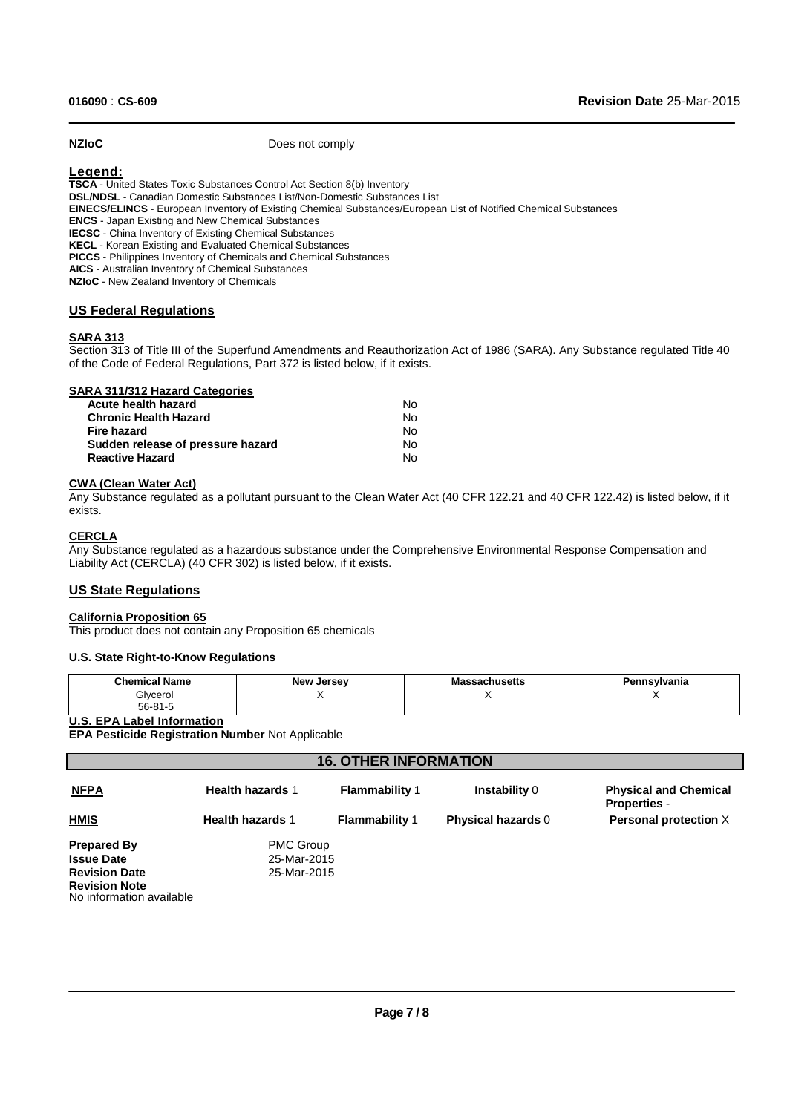**NZIoC** Does not comply

# **Legend:**

**TSCA** - United States Toxic Substances Control Act Section 8(b) Inventory **DSL/NDSL** - Canadian Domestic Substances List/Non-Domestic Substances List **EINECS/ELINCS** - European Inventory of Existing Chemical Substances/European List of Notified Chemical Substances **ENCS** - Japan Existing and New Chemical Substances **IECSC** - China Inventory of Existing Chemical Substances **KECL** - Korean Existing and Evaluated Chemical Substances **PICCS** - Philippines Inventory of Chemicals and Chemical Substances **AICS** - Australian Inventory of Chemical Substances **NZIoC** - New Zealand Inventory of Chemicals

## **US Federal Regulations**

## **SARA 313**

Section 313 of Title III of the Superfund Amendments and Reauthorization Act of 1986 (SARA). Any Substance regulated Title 40 of the Code of Federal Regulations, Part 372 is listed below, if it exists.

| SARA 311/312 Hazard Categories    |    |
|-----------------------------------|----|
| Acute health hazard               | N٥ |
| <b>Chronic Health Hazard</b>      | No |
| Fire hazard                       | No |
| Sudden release of pressure hazard | Nο |
| <b>Reactive Hazard</b>            | Nο |

### **CWA (Clean Water Act)**

Any Substance regulated as a pollutant pursuant to the Clean Water Act (40 CFR 122.21 and 40 CFR 122.42) is listed below, if it exists.

### **CERCLA**

Any Substance regulated as a hazardous substance under the Comprehensive Environmental Response Compensation and Liability Act (CERCLA) (40 CFR 302) is listed below, if it exists.

### **US State Regulations**

### **California Proposition 65**

This product does not contain any Proposition 65 chemicals

### **U.S. State Right-to-Know Regulations**

| <b>Chemical Name</b>      | <b>New Jersey</b> | Massachusetts | Pennsylvania |
|---------------------------|-------------------|---------------|--------------|
| Glycerol<br>$56 - 81 - 5$ |                   |               |              |

### **U.S. EPA Label Information**

**EPA Pesticide Registration Number** Not Applicable

| <b>16. OTHER INFORMATION</b>                     |                         |                       |                           |                                                     |  |  |
|--------------------------------------------------|-------------------------|-----------------------|---------------------------|-----------------------------------------------------|--|--|
| <b>NFPA</b>                                      | <b>Health hazards 1</b> | <b>Flammability 1</b> | <b>Instability 0</b>      | <b>Physical and Chemical</b><br><b>Properties -</b> |  |  |
| <b>HMIS</b>                                      | <b>Health hazards 1</b> | <b>Flammability 1</b> | <b>Physical hazards 0</b> | Personal protection X                               |  |  |
| <b>Prepared By</b>                               | <b>PMC Group</b>        |                       |                           |                                                     |  |  |
| <b>Issue Date</b>                                | 25-Mar-2015             |                       |                           |                                                     |  |  |
| <b>Revision Date</b>                             | 25-Mar-2015             |                       |                           |                                                     |  |  |
| <b>Revision Note</b><br>No information available |                         |                       |                           |                                                     |  |  |